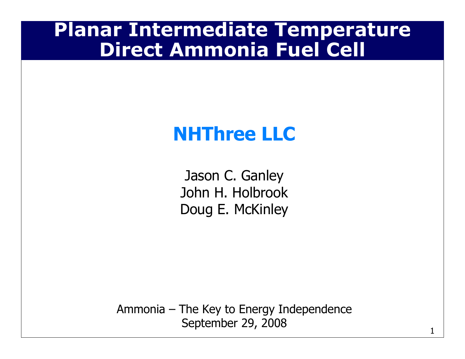### Planar Intermediate TemperatureDirect Ammonia Fuel Cell

## NHThree LLC

Jason C. Ganley John H. HolbrookDoug E. McKinley

Ammonia – The Key to Energy Independence September 29, 2008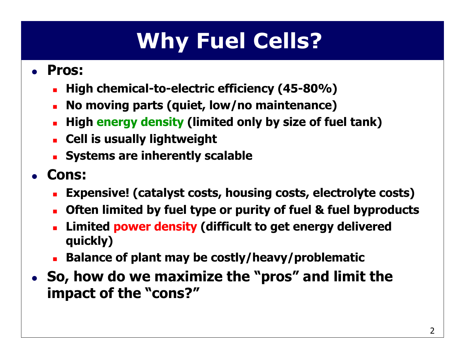# Why Fuel Cells?

#### $\bullet$ • Pros:

- -High chemical-to-electric efficiency (45-80%)
- -No moving parts (quiet, low/no maintenance)
- **F** High energy density (limited only by size of fuel tank)
- -Cell is usually lightweight
- -**Systems are inherently scalable**
- $\bullet$  Cons:
	- Expensive! (catalyst costs, housing costs, electrolyte costs)
	- -Often limited by fuel type or purity of fuel & fuel byproducts
	- -**Limited power density (difficult to get energy delivered Limited power density (difficult to get energy delivered** quickly)
	- Balance of plant may be costly/heavy/problematic
- $\bullet$  So, how do we maximize the "pros" and limit the impact of the "cons?"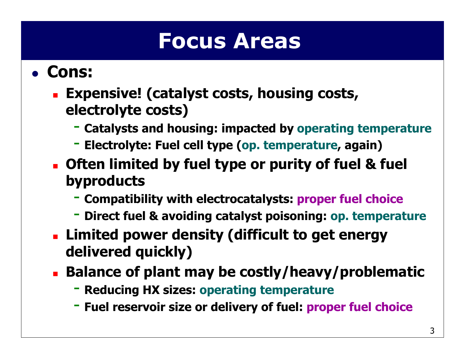## Focus Areas

#### $\bullet$ • Cons:

#### - Expensive! (catalyst costs, housing costs, electrolyte costs)

- Catalysts and housing: impacted by operating temperature
- Electrolyte: Fuel cell type (op. temperature, again)
- - Often limited by fuel type or purity of fuel & fuel byproducts
	- Compatibility with electrocatalysts: proper fuel choice
	- Direct fuel & avoiding catalyst poisoning: op. temperature
- - Limited power density (difficult to get energy delivered quickly)
- - Balance of plant may be costly/heavy/problematic
	- Reducing HX sizes: operating temperature
	- Fuel reservoir size or delivery of fuel: proper fuel choice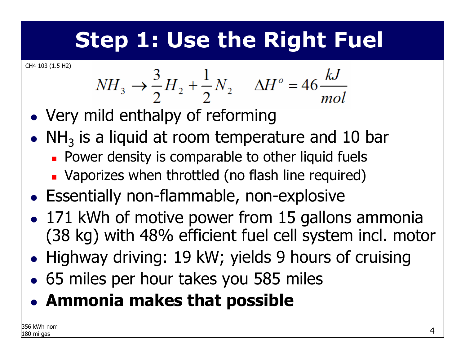# Step 1: Use the Right Fuel

CH4 103 (1.5 H2)

$$
NH_3 \rightarrow \frac{3}{2}H_2 + \frac{1}{2}N_2 \qquad \Delta H^\circ = 46 \frac{kJ}{mol}
$$

- $\bullet$ Very mild enthalpy of reforming
- $\bullet$  $\bullet\,$  NH $_3$  $_3$  is a liquid at room temperature and 10 bar
	- -**Power density is comparable to other liquid fuels**
	- -Vaporizes when throttled (no flash line required)
- $\bullet$ Essentially non-flammable, non-explosive
- $\bullet$ • 171 kWh of motive power from 15 gallons ammonia (38 kg) with 48% efficient fuel cell system incl. motor
- $\bullet$ Highway driving: 19 kW; yields 9 hours of cruising
- $\bullet$ 65 miles per hour takes you 585 miles
- $\bullet$ Ammonia makes that possible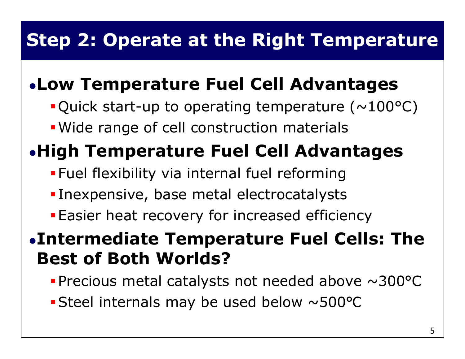### Step 2: Operate at the Right Temperature

### Low Temperature Fuel Cell Advantages

- **Quick start-up to operating temperature (** $\sim$ **100°C)**
- Wide range of cell construction materials

## High Temperature Fuel Cell Advantages

- **Fuel flexibility via internal fuel reforming**
- Inexpensive, base metal electrocatalysts
- **Easier heat recovery for increased efficiency**

#### Intermediate Temperature Fuel Cells: The Best of Both Worlds?

- Precious metal catalysts not needed above ~300°C
- Steel internals may be used below ~500 °C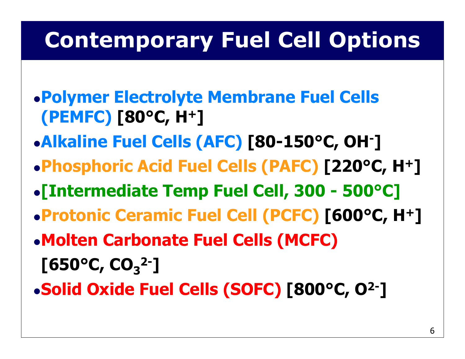# Contemporary Fuel Cell Options

- Polymer Electrolyte Membrane Fuel Cells (PEMFC) [80°C, H+]
- Alkaline Fuel Cells (AFC) [80-150°C, OH-]
- Phosphoric Acid Fuel Cells (PAFC) [220°C, H+]
- [Intermediate Temp Fuel Cell, 300 500°C]
- Protonic Ceramic Fuel Cell (PCFC) [600°C, H+]
- Molten Carbonate Fuel Cells (MCFC) $[650^{\circ}$ C, CO<sub>3</sub><sup>2-</sup>]
- Solid Oxide Fuel Cells (SOFC) [800°C, O2-]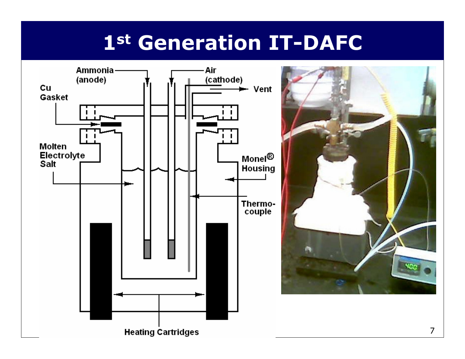## st Generation IT-DAFC

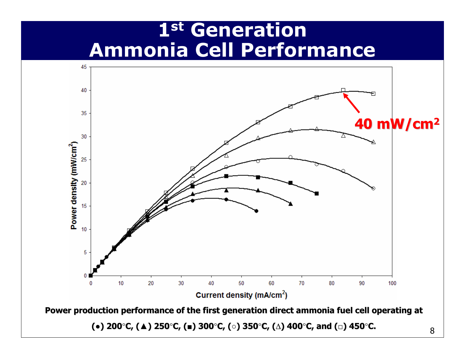### 1st Generation Ammonia Cell Performance



(●) 200**°**C, (▲) 250**°**C, (■) 300**°**C, (○) 350**°**C, (∆) 400**°**C, and (□) 450**°**C.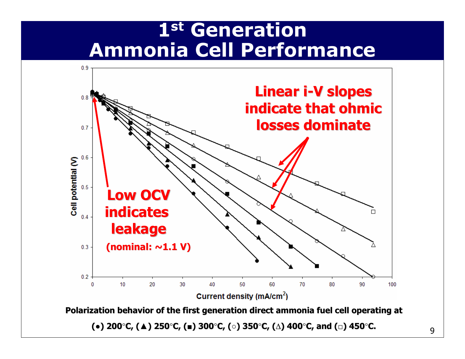### 1st Generation Ammonia Cell Performance



(●) 200**°**C, (▲) 250**°**C, (■) 300**°**C, (○) 350**°**C, (∆) 400**°**C, and (□) 450**°**C.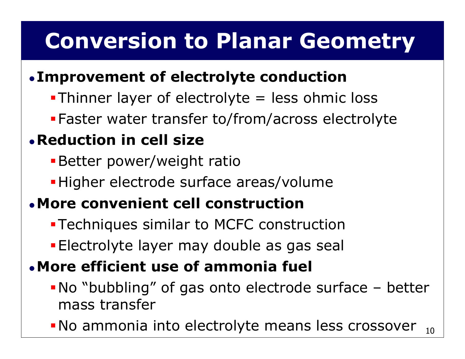# Conversion to Planar Geometry

#### $\bullet$ Improvement of electrolyte conduction

- Thinner layer of electrolyte = less ohmic loss
- Faster water transfer to/from/across electrolyte

#### Reduction in cell size

- **Better power/weight ratio**
- Higher electrode surface areas/volume

#### More convenient cell construction

- Techniques similar to MCFC construction
- Electrolyte layer may double as gas seal

#### More efficient use of ammonia fuel

- No "bubbling" of gas onto electrode surface better mass transfer
- No ammonia into electrolyte means less crossover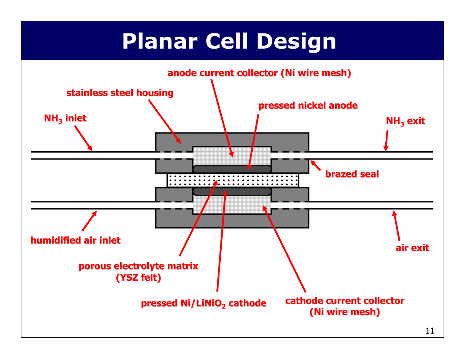# Planar Cell Design

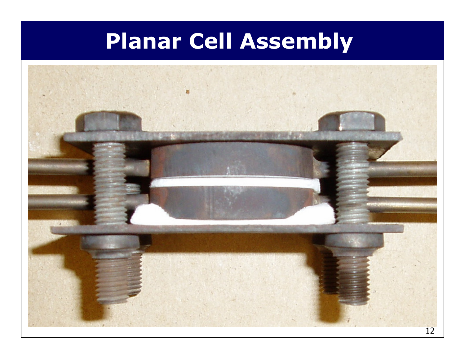# Planar Cell Assembly

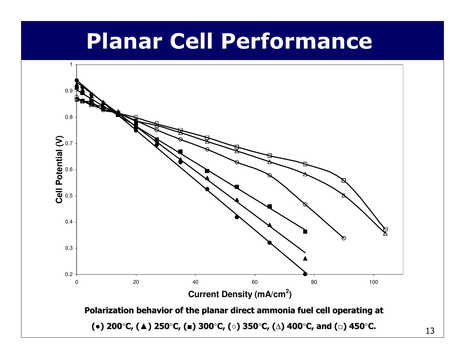## Planar Cell Performance

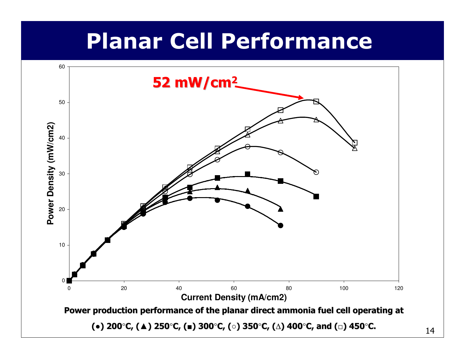## Planar Cell Performance

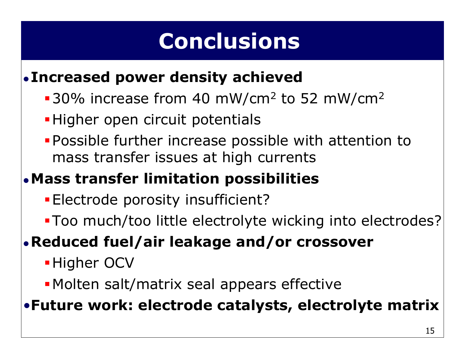# Conclusions

#### $\bullet$ Increased power density achieved

- $-30\%$  increase from 40 mW/cm<sup>2</sup> to 52 mW/cm<sup>2</sup>
- **-Higher open circuit potentials**
- Possible further increase possible with attention to mass transfer issues at high currents

#### Mass transfer limitation possibilities

- Electrode porosity insufficient?
- Too much/too little electrolyte wicking into electrodes?

#### Reduced fuel/air leakage and/or crossover

- **-Higher OCV**
- Molten salt/matrix seal appears effective

•Future work: electrode catalysts, electrolyte matrix